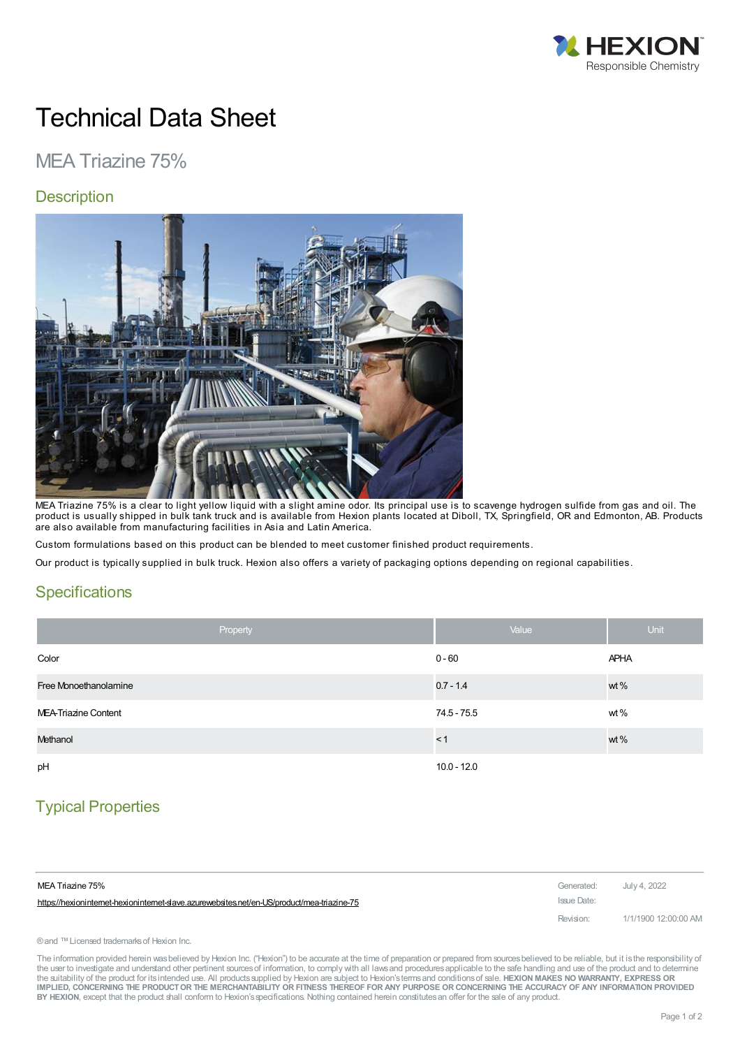

# Technical Data Sheet

## MEA Triazine 75%

#### **Description**



MEA Triazine 75% is a clear to light yellow liquid with a slight amine odor. Its principal use is to scavenge hydrogen sulfide from gas and oil. The product is usually shipped in bulk tank truck and is available from Hexion plants located at Diboll, TX, Springfield, OR and Edmonton, AB. Products are also available from manufacturing facilities in Asia and Latin America.

Custom formulations based on this product can be blended to meet customer finished product requirements.

Our product is typically supplied in bulk truck. Hexion also offers a variety of packaging options depending on regional capabilities.

#### **Specifications**

| Property              | Value         | <b>Unit</b> |
|-----------------------|---------------|-------------|
| Color                 | $0 - 60$      | <b>APHA</b> |
| Free Monoethanolamine | $0.7 - 1.4$   | wt%         |
| MEA-Triazine Content  | 74.5 - 75.5   | wt%         |
| Methanol              | < 1           | wt%         |
| pH                    | $10.0 - 12.0$ |             |

### Typical Properties

| MEA Triazine 75%                                                                          | Generated: July 4, 2022 |                      |
|-------------------------------------------------------------------------------------------|-------------------------|----------------------|
| https://hexionintemet-hexionintemet-slave.azurewebsites.net/en-US/product/mea-triazine-75 | Issue Date:             |                      |
|                                                                                           | Revision:               | 1/1/1900 12:00:00 AM |

® and ™ Licensed trademarks of Hexion Inc.

The information provided herein was believed by Hexion Inc. ("Hexion") to be accurate at the time of preparation or prepared from sources believed to be reliable, but it is the responsibility of the user to investigate and understand other pertinent sources of information, to comply with all laws and procedures applicable to the safe handling and use of the product and to determine the suitability of the product for itsintended use. All productssupplied by Hexion are subject to Hexion'stermsand conditionsof sale. **HEXION MAKES NO WARRANTY, EXPRESS OR** IMPLIED, CONCERNING THE PRODUCT OR THE MERCHANTABILITY OR FITNESS THEREOF FOR ANY PURPOSE OR CONCERNING THE ACCURACY OF ANY INFORMATION PROVIDED **BY HEXION**, except that the product shall conform to Hexion'sspecifications. Nothing contained herein constitutesan offer for the sale of any product.